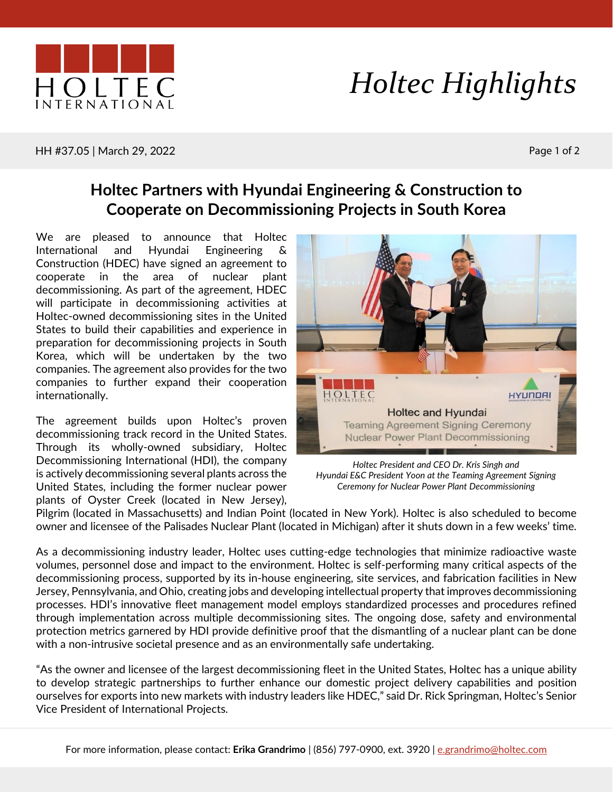

## *Holtec Highlights*

HH #37.05 | March 29, 2022 Page 1 of 2

## **Holtec Partners with Hyundai Engineering & Construction to Cooperate on Decommissioning Projects in South Korea**

We are pleased to announce that Holtec International and Hyundai Engineering & Construction (HDEC) have signed an agreement to cooperate in the area of nuclear plant decommissioning. As part of the agreement, HDEC will participate in decommissioning activities at Holtec-owned decommissioning sites in the United States to build their capabilities and experience in preparation for decommissioning projects in South Korea, which will be undertaken by the two companies. The agreement also provides for the two companies to further expand their cooperation internationally.

The agreement builds upon Holtec's proven decommissioning track record in the United States. Through its wholly-owned subsidiary, Holtec Decommissioning International (HDI), the company is actively decommissioning several plants across the United States, including the former nuclear power plants of Oyster Creek (located in New Jersey),



*Holtec President and CEO Dr. Kris Singh and Hyundai E&C President Yoon at the Teaming Agreement Signing Ceremony for Nuclear Power Plant Decommissioning*

Pilgrim (located in Massachusetts) and Indian Point (located in New York). Holtec is also scheduled to become owner and licensee of the Palisades Nuclear Plant (located in Michigan) after it shuts down in a few weeks' time.

As a decommissioning industry leader, Holtec uses cutting-edge technologies that minimize radioactive waste volumes, personnel dose and impact to the environment. Holtec is self-performing many critical aspects of the decommissioning process, supported by its in-house engineering, site services, and fabrication facilities in New Jersey, Pennsylvania, and Ohio, creating jobs and developing intellectual property that improves decommissioning processes. HDI's innovative fleet management model employs standardized processes and procedures refined through implementation across multiple decommissioning sites. The ongoing dose, safety and environmental protection metrics garnered by HDI provide definitive proof that the dismantling of a nuclear plant can be done with a non-intrusive societal presence and as an environmentally safe undertaking.

"As the owner and licensee of the largest decommissioning fleet in the United States, Holtec has a unique ability to develop strategic partnerships to further enhance our domestic project delivery capabilities and position ourselves for exports into new markets with industry leaders like HDEC," said Dr. Rick Springman, Holtec's Senior Vice President of International Projects.